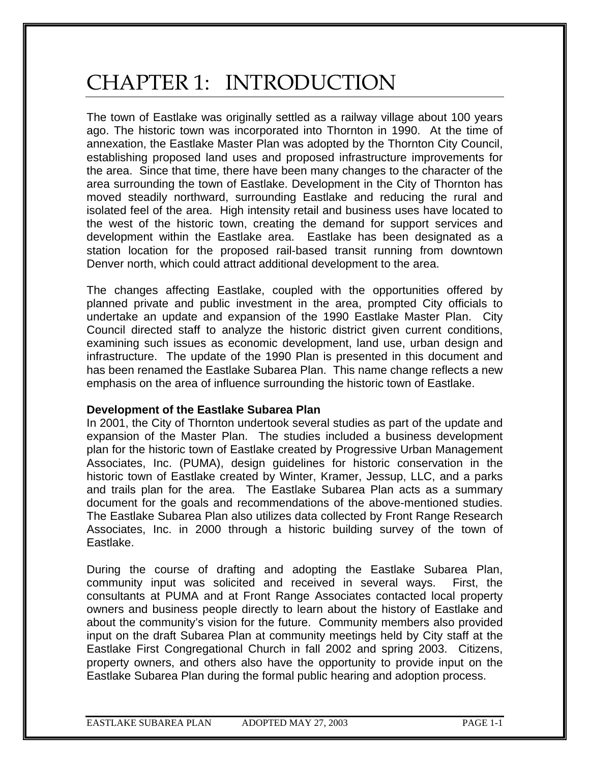# CHAPTER 1: INTRODUCTION

The town of Eastlake was originally settled as a railway village about 100 years ago. The historic town was incorporated into Thornton in 1990. At the time of annexation, the Eastlake Master Plan was adopted by the Thornton City Council, establishing proposed land uses and proposed infrastructure improvements for the area. Since that time, there have been many changes to the character of the area surrounding the town of Eastlake. Development in the City of Thornton has moved steadily northward, surrounding Eastlake and reducing the rural and isolated feel of the area. High intensity retail and business uses have located to the west of the historic town, creating the demand for support services and development within the Eastlake area. Eastlake has been designated as a station location for the proposed rail-based transit running from downtown Denver north, which could attract additional development to the area.

The changes affecting Eastlake, coupled with the opportunities offered by planned private and public investment in the area, prompted City officials to undertake an update and expansion of the 1990 Eastlake Master Plan. City Council directed staff to analyze the historic district given current conditions, examining such issues as economic development, land use, urban design and infrastructure. The update of the 1990 Plan is presented in this document and has been renamed the Eastlake Subarea Plan. This name change reflects a new emphasis on the area of influence surrounding the historic town of Eastlake.

### **Development of the Eastlake Subarea Plan**

In 2001, the City of Thornton undertook several studies as part of the update and expansion of the Master Plan. The studies included a business development plan for the historic town of Eastlake created by Progressive Urban Management Associates, Inc. (PUMA), design guidelines for historic conservation in the historic town of Eastlake created by Winter, Kramer, Jessup, LLC, and a parks and trails plan for the area. The Eastlake Subarea Plan acts as a summary document for the goals and recommendations of the above-mentioned studies. The Eastlake Subarea Plan also utilizes data collected by Front Range Research Associates, Inc. in 2000 through a historic building survey of the town of Eastlake.

During the course of drafting and adopting the Eastlake Subarea Plan, community input was solicited and received in several ways. First, the consultants at PUMA and at Front Range Associates contacted local property owners and business people directly to learn about the history of Eastlake and about the community's vision for the future. Community members also provided input on the draft Subarea Plan at community meetings held by City staff at the Eastlake First Congregational Church in fall 2002 and spring 2003. Citizens, property owners, and others also have the opportunity to provide input on the Eastlake Subarea Plan during the formal public hearing and adoption process.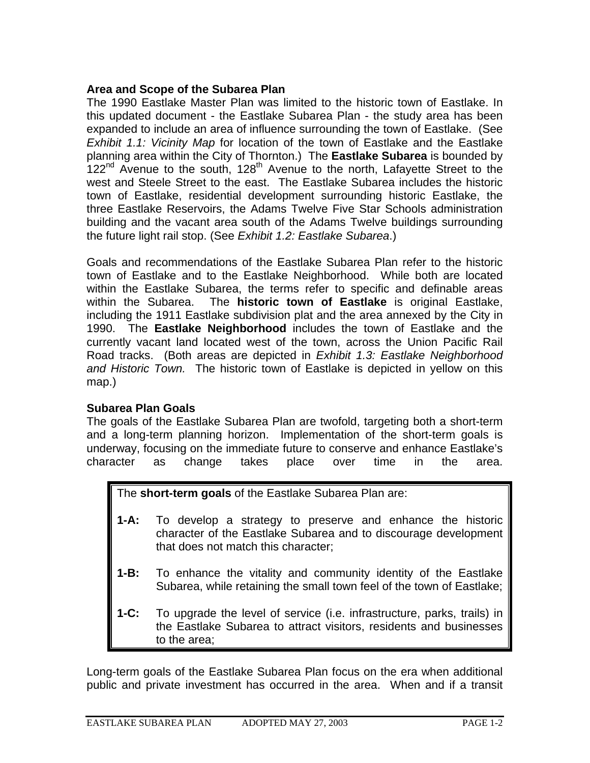## **Area and Scope of the Subarea Plan**

The 1990 Eastlake Master Plan was limited to the historic town of Eastlake. In this updated document - the Eastlake Subarea Plan - the study area has been expanded to include an area of influence surrounding the town of Eastlake. (See *Exhibit 1.1: Vicinity Map* for location of the town of Eastlake and the Eastlake planning area within the City of Thornton.) The **Eastlake Subarea** is bounded by 122<sup>nd</sup> Avenue to the south, 128<sup>th</sup> Avenue to the north, Lafayette Street to the west and Steele Street to the east. The Eastlake Subarea includes the historic town of Eastlake, residential development surrounding historic Eastlake, the three Eastlake Reservoirs, the Adams Twelve Five Star Schools administration building and the vacant area south of the Adams Twelve buildings surrounding the future light rail stop. (See *Exhibit 1.2: Eastlake Subarea*.)

Goals and recommendations of the Eastlake Subarea Plan refer to the historic town of Eastlake and to the Eastlake Neighborhood. While both are located within the Eastlake Subarea, the terms refer to specific and definable areas within the Subarea. The **historic town of Eastlake** is original Eastlake, including the 1911 Eastlake subdivision plat and the area annexed by the City in 1990. The **Eastlake Neighborhood** includes the town of Eastlake and the currently vacant land located west of the town, across the Union Pacific Rail Road tracks. (Both areas are depicted in *Exhibit 1.3: Eastlake Neighborhood and Historic Town.* The historic town of Eastlake is depicted in yellow on this map.)

### **Subarea Plan Goals**

The goals of the Eastlake Subarea Plan are twofold, targeting both a short-term and a long-term planning horizon. Implementation of the short-term goals is underway, focusing on the immediate future to conserve and enhance Eastlake's character as change takes place over time in the area.

The **short-term goals** of the Eastlake Subarea Plan are:

- **1-A:** To develop a strategy to preserve and enhance the historic character of the Eastlake Subarea and to discourage development that does not match this character;
- **1-B:** To enhance the vitality and community identity of the Eastlake Subarea, while retaining the small town feel of the town of Eastlake;
- **1-C:** To upgrade the level of service (i.e. infrastructure, parks, trails) in the Eastlake Subarea to attract visitors, residents and businesses to the area;

Long-term goals of the Eastlake Subarea Plan focus on the era when additional public and private investment has occurred in the area. When and if a transit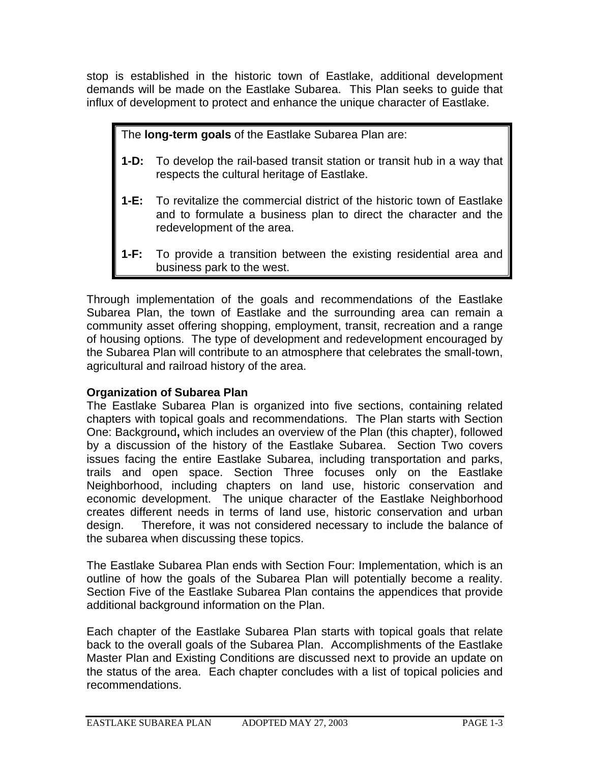stop is established in the historic town of Eastlake, additional development demands will be made on the Eastlake Subarea. This Plan seeks to guide that influx of development to protect and enhance the unique character of Eastlake.

The **long-term goals** of the Eastlake Subarea Plan are:

- **1-D:** To develop the rail-based transit station or transit hub in a way that respects the cultural heritage of Eastlake.
- **1-E:** To revitalize the commercial district of the historic town of Eastlake and to formulate a business plan to direct the character and the redevelopment of the area.
- **1-F:** To provide a transition between the existing residential area and business park to the west.

Through implementation of the goals and recommendations of the Eastlake Subarea Plan, the town of Eastlake and the surrounding area can remain a community asset offering shopping, employment, transit, recreation and a range of housing options. The type of development and redevelopment encouraged by the Subarea Plan will contribute to an atmosphere that celebrates the small-town, agricultural and railroad history of the area.

# **Organization of Subarea Plan**

The Eastlake Subarea Plan is organized into five sections, containing related chapters with topical goals and recommendations. The Plan starts with Section One: Background**,** which includes an overview of the Plan (this chapter), followed by a discussion of the history of the Eastlake Subarea. Section Two covers issues facing the entire Eastlake Subarea, including transportation and parks, trails and open space. Section Three focuses only on the Eastlake Neighborhood, including chapters on land use, historic conservation and economic development. The unique character of the Eastlake Neighborhood creates different needs in terms of land use, historic conservation and urban design. Therefore, it was not considered necessary to include the balance of the subarea when discussing these topics.

The Eastlake Subarea Plan ends with Section Four: Implementation, which is an outline of how the goals of the Subarea Plan will potentially become a reality. Section Five of the Eastlake Subarea Plan contains the appendices that provide additional background information on the Plan.

Each chapter of the Eastlake Subarea Plan starts with topical goals that relate back to the overall goals of the Subarea Plan. Accomplishments of the Eastlake Master Plan and Existing Conditions are discussed next to provide an update on the status of the area. Each chapter concludes with a list of topical policies and recommendations.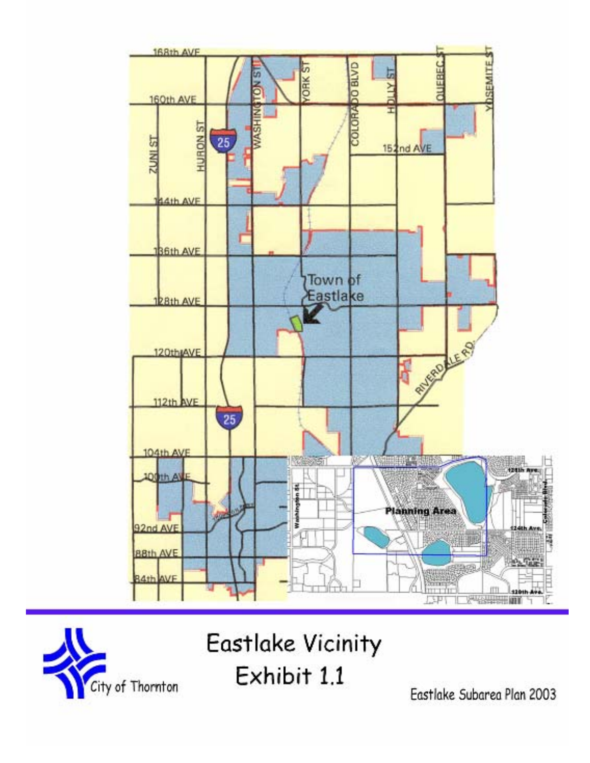

City of Thornton

Eastlake Vicinity Exhibit 1.1

Eastlake Subarea Plan 2003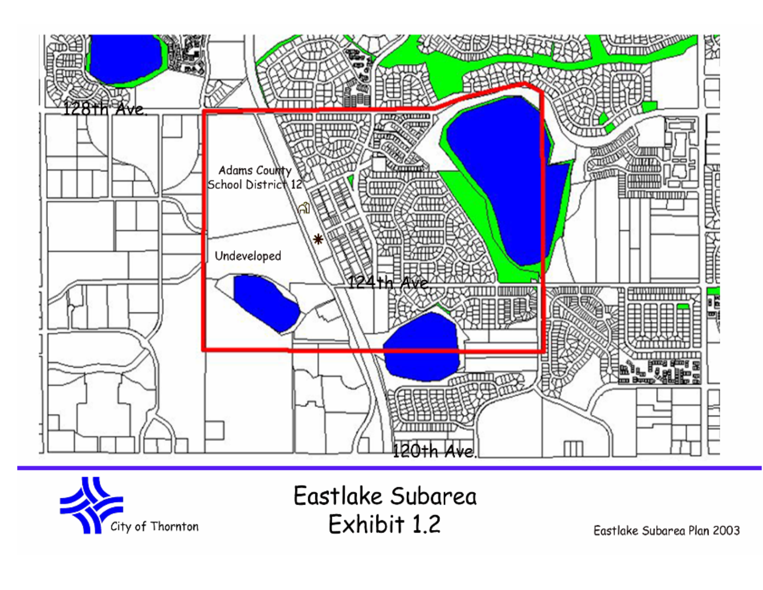



Eastlake Subarea Exhibit 1.2

Eastlake Subarea Plan 2003